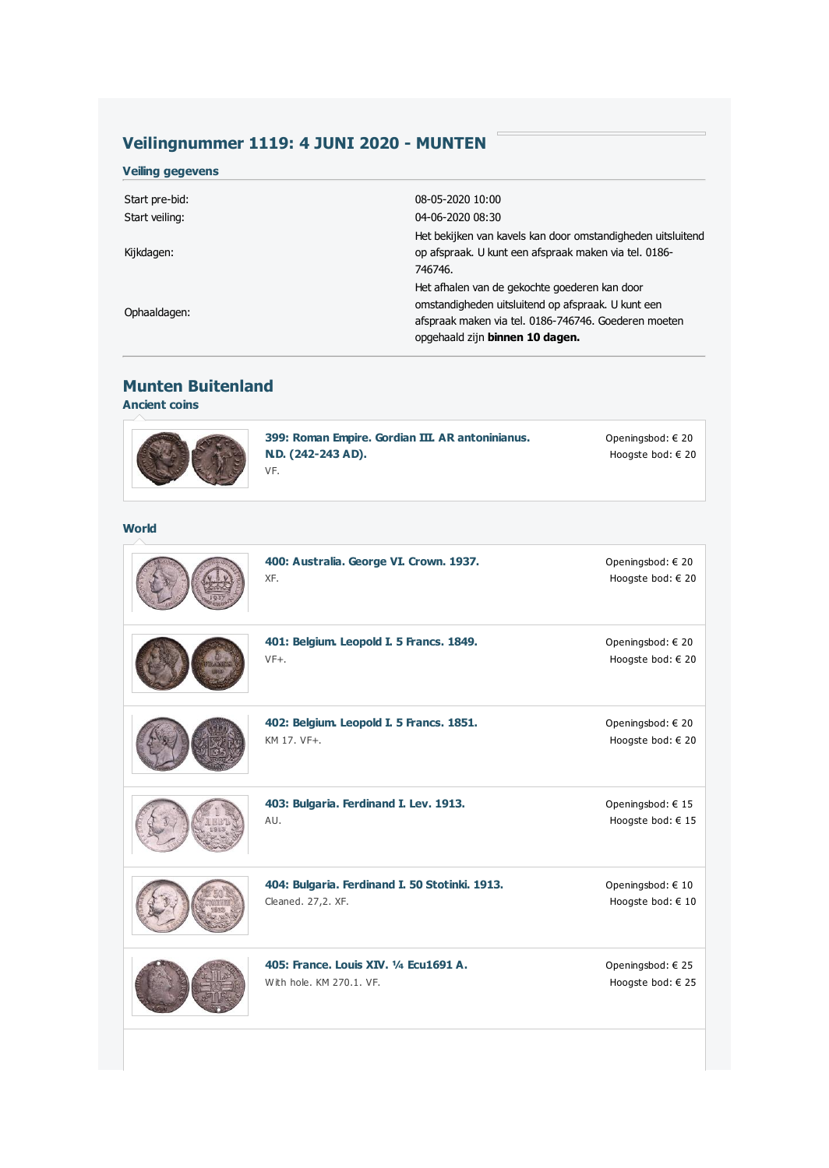## **Veilingnummer 1119: 4 JUNI 2020 - MUNTEN**

| <b>Veiling gegevens</b> |                                                                                                                                                                                                |
|-------------------------|------------------------------------------------------------------------------------------------------------------------------------------------------------------------------------------------|
| Start pre-bid:          | 08-05-2020 10:00                                                                                                                                                                               |
| Start veiling:          | 04-06-2020 08:30                                                                                                                                                                               |
| Kijkdagen:              | Het bekijken van kavels kan door omstandigheden uitsluitend<br>op afspraak. U kunt een afspraak maken via tel. 0186-<br>746746.                                                                |
| Ophaaldagen:            | Het afhalen van de gekochte goederen kan door<br>omstandigheden uitsluitend op afspraak. U kunt een<br>afspraak maken via tel. 0186-746746. Goederen moeten<br>opgehaald zijn binnen 10 dagen. |

## **Munten Buitenland**

## **Ancient coins**



**399: Roman Empire. Gordian III. AR antoninianus. N.D. (242-243 AD).** VF.

Openingsbod: € 20 Hoogste bod: € 20

## **World**

| 400: Australia. George VI. Crown. 1937.<br>XF.                       | Openingsbod: € 20<br>Hoogste bod: € 20     |
|----------------------------------------------------------------------|--------------------------------------------|
| 401: Belgium. Leopold I. 5 Francs. 1849.<br>$VF+$ .                  | Openingsbod: € 20<br>Hoogste bod: € 20     |
| 402: Belgium. Leopold I. 5 Francs. 1851.<br>KM 17. VF+.              | Openingsbod: € 20<br>Hoogste bod: € 20     |
| 403: Bulgaria. Ferdinand I. Lev. 1913.<br>AU.                        | Openingsbod: $\in$ 15<br>Hoogste bod: € 15 |
| 404: Bulgaria. Ferdinand I. 50 Stotinki. 1913.<br>Cleaned. 27,2. XF. | Openingsbod: $\in$ 10<br>Hoogste bod: € 10 |
| 405: France. Louis XIV. 1/4 Ecu1691 A.<br>With hole, KM 270.1, VF.   | Openingsbod: € 25<br>Hoogste bod: € 25     |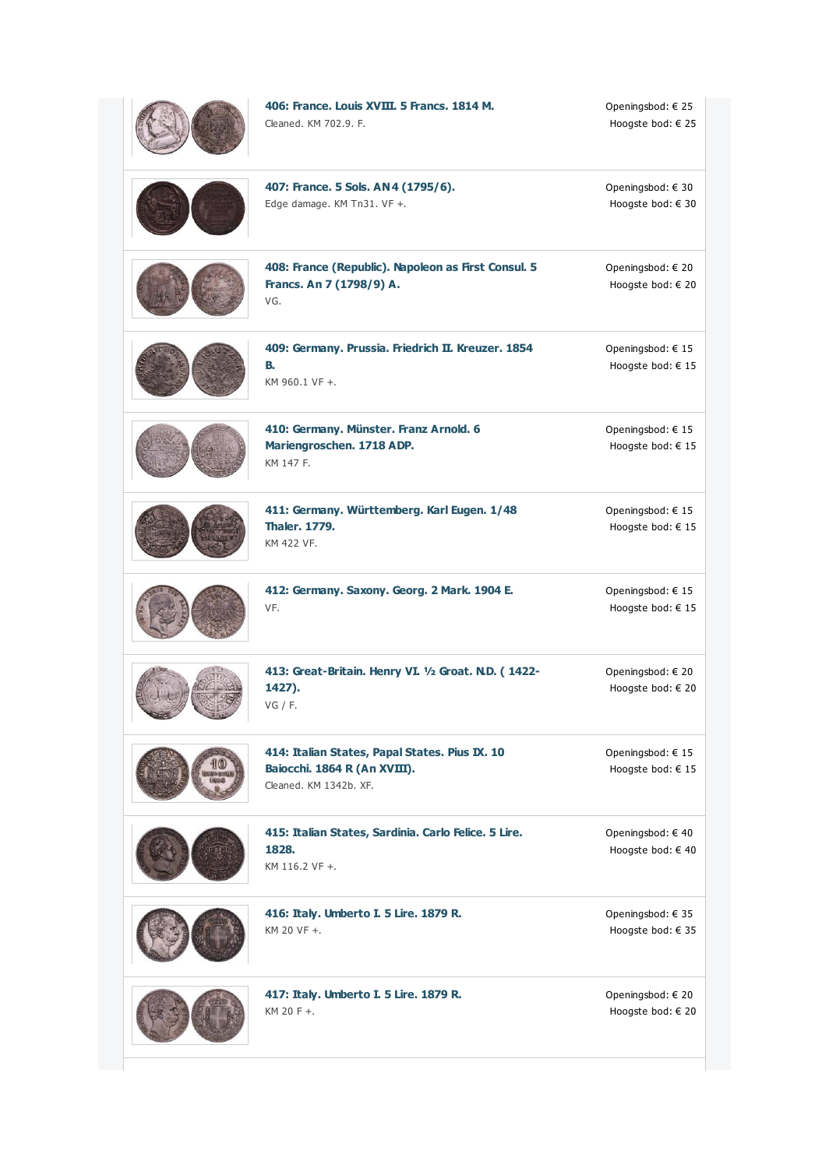| 406: France. Louis XVIII. 5 Francs. 1814 M.<br>Cleaned, KM 702.9, F.                                     | Openingsbod: € 25<br>Hoogste bod: € 25 |
|----------------------------------------------------------------------------------------------------------|----------------------------------------|
| 407: France. 5 Sols. AN4 (1795/6).<br>Edge damage. KM Tn31. VF +.                                        | Openingsbod: € 30<br>Hoogste bod: € 30 |
| 408: France (Republic). Napoleon as First Consul. 5<br>Francs. An 7 (1798/9) A.<br>VG.                   | Openingsbod: € 20<br>Hoogste bod: € 20 |
| 409: Germany. Prussia. Friedrich II. Kreuzer. 1854<br>В.<br>KM 960.1 VF +.                               | Openingsbod: €15<br>Hoogste bod: € 15  |
| 410: Germany. Münster. Franz Arnold. 6<br>Mariengroschen. 1718 ADP.<br>KM 147 F.                         | Openingsbod: €15<br>Hoogste bod: € 15  |
| 411: Germany. Württemberg. Karl Eugen. 1/48<br><b>Thaler. 1779.</b><br>KM 422 VF.                        | Openingsbod: €15<br>Hoogste bod: € 15  |
| 412: Germany. Saxony. Georg. 2 Mark. 1904 E.<br>VF.                                                      | Openingsbod: €15<br>Hoogste bod: € 15  |
| 413: Great-Britain. Henry VI. 1/2 Groat. N.D. (1422-<br>1427).<br>VG / F.                                | Openingsbod: € 20<br>Hoogste bod: € 20 |
| 414: Italian States, Papal States. Pius IX. 10<br>Baiocchi. 1864 R (An XVIII).<br>Cleaned. KM 1342b. XF. | Openingsbod: €15<br>Hoogste bod: € 15  |
| 415: Italian States, Sardinia. Carlo Felice. 5 Lire.<br>1828.<br>KM 116.2 VF +.                          | Openingsbod: €40<br>Hoogste bod: € 40  |
| 416: Italy. Umberto I. 5 Lire. 1879 R.<br>KM 20 VF +.                                                    | Openingsbod: €35<br>Hoogste bod: € 35  |
| 417: Italy. Umberto I. 5 Lire. 1879 R.<br>KM 20 F +.                                                     | Openingsbod: € 20<br>Hoogste bod: € 20 |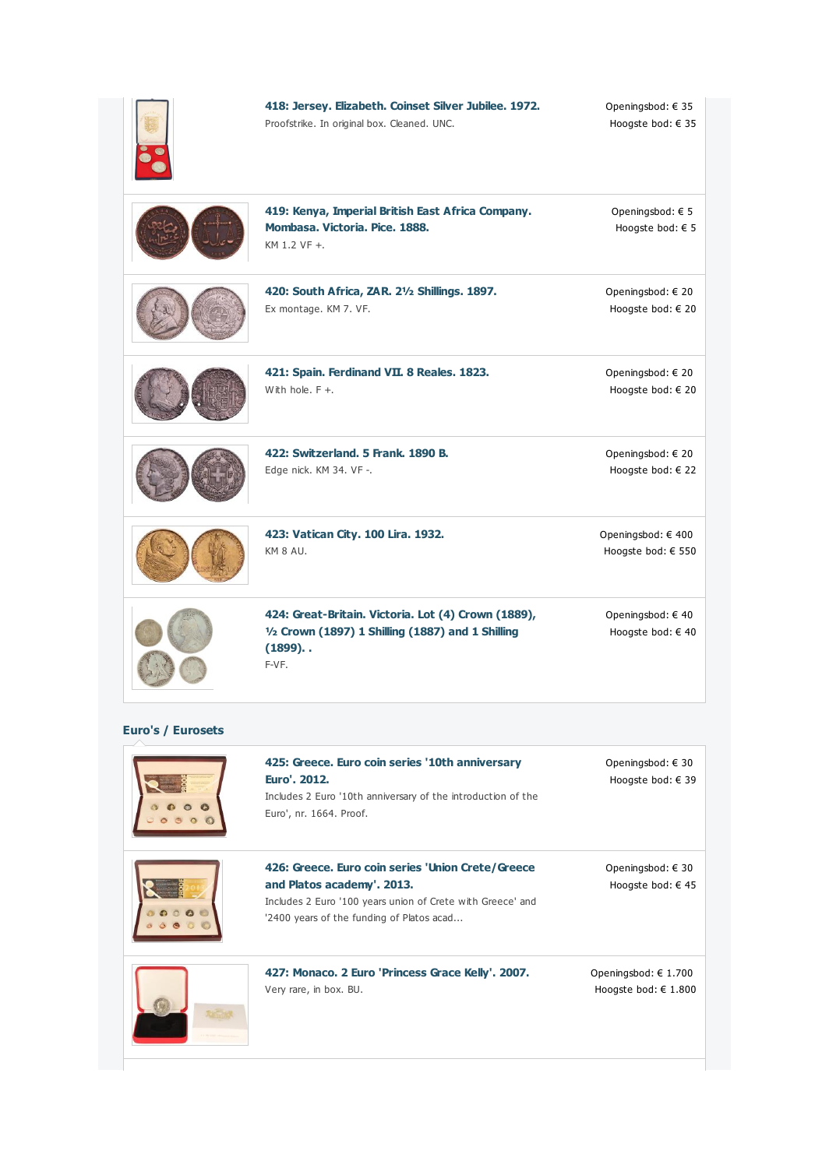|                          | 418: Jersey. Elizabeth. Coinset Silver Jubilee. 1972.<br>Proofstrike. In original box. Cleaned. UNC.                                                                                        | Openingsbod: €35<br>Hoogste bod: € 35        |
|--------------------------|---------------------------------------------------------------------------------------------------------------------------------------------------------------------------------------------|----------------------------------------------|
|                          | 419: Kenya, Imperial British East Africa Company.<br>Mombasa, Victoria, Pice, 1888,<br>KM 1.2 VF +.                                                                                         | Openingsbod: € 5<br>Hoogste bod: € 5         |
|                          | 420: South Africa, ZAR. 21/2 Shillings. 1897.<br>Ex montage. KM 7. VF.                                                                                                                      | Openingsbod: € 20<br>Hoogste bod: € 20       |
|                          | 421: Spain. Ferdinand VII. 8 Reales. 1823.<br>With hole, $F +$ .                                                                                                                            | Openingsbod: € 20<br>Hoogste bod: € 20       |
|                          | 422: Switzerland, 5 Frank, 1890 B.<br>Edge nick. KM 34. VF -.                                                                                                                               | Openingsbod: € 20<br>Hoogste bod: € 22       |
|                          | 423: Vatican City. 100 Lira. 1932.<br>KM 8 AU.                                                                                                                                              | Openingsbod: € 400<br>Hoogste bod: € 550     |
|                          | 424: Great-Britain. Victoria. Lot (4) Crown (1889),<br>$1/2$ Crown (1897) 1 Shilling (1887) and 1 Shilling<br>$(1899)$<br>F-VF.                                                             | Openingsbod: €40<br>Hoogste bod: € 40        |
| <b>Euro's / Eurosets</b> |                                                                                                                                                                                             |                                              |
|                          | 425: Greece. Euro coin series '10th anniversary<br>Euro', 2012.<br>Includes 2 Euro '10th anniversary of the introduction of the<br>Euro', nr. 1664. Proof.                                  | Openingsbod: € 30<br>Hoogste bod: € 39       |
|                          | 426: Greece. Euro coin series 'Union Crete/ Greece<br>and Platos academy'. 2013.<br>Includes 2 Euro '100 years union of Crete with Greece' and<br>'2400 years of the funding of Platos acad | Openingsbod: € 30<br>Hoogste bod: € 45       |
|                          | 427: Monaco. 2 Euro 'Princess Grace Kelly'. 2007.<br>Very rare, in box. BU.                                                                                                                 | Openingsbod: € 1.700<br>Hoogste bod: € 1.800 |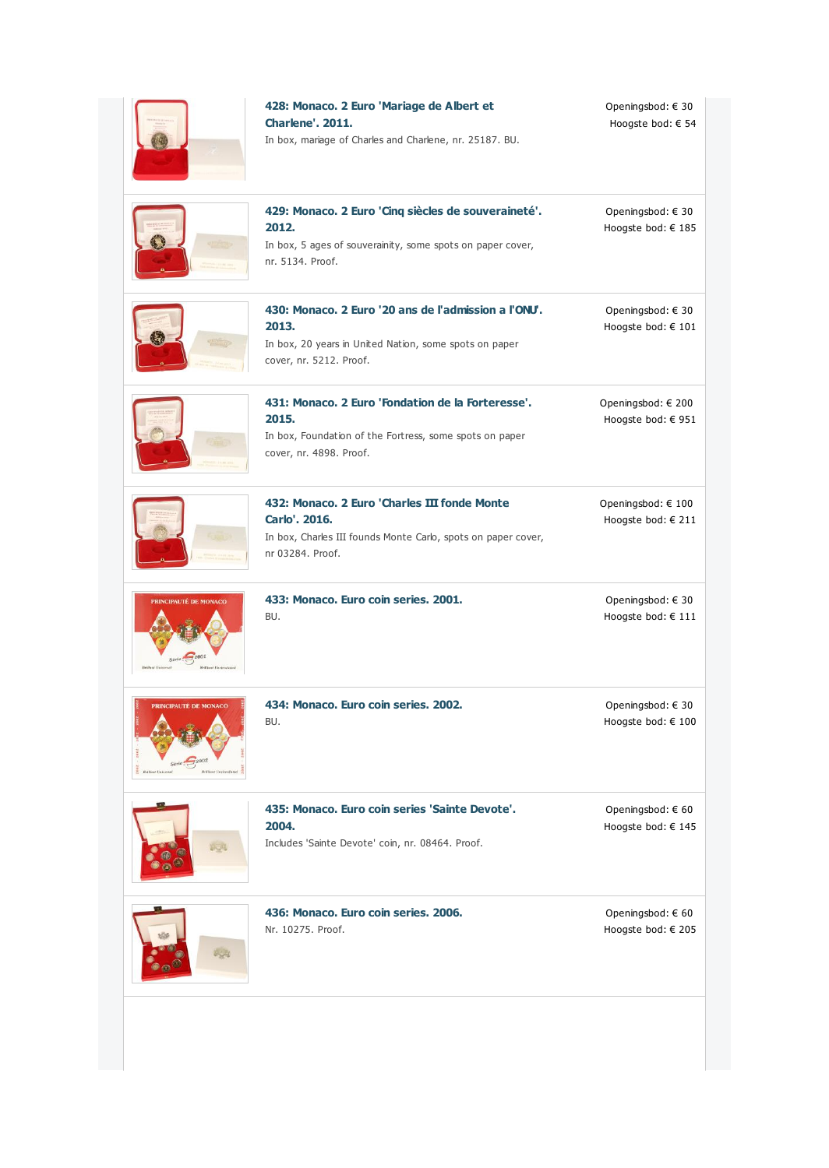|                                             | 428: Monaco. 2 Euro 'Mariage de Albert et<br><b>Charlene', 2011,</b><br>In box, mariage of Charles and Charlene, nr. 25187. BU.                    | Openingsbod: € 30<br>Hoogste bod: € 54      |
|---------------------------------------------|----------------------------------------------------------------------------------------------------------------------------------------------------|---------------------------------------------|
|                                             | 429: Monaco. 2 Euro 'Cinq siècles de souveraineté'.<br>2012.<br>In box, 5 ages of souverainity, some spots on paper cover,<br>nr. 5134. Proof.     | Openingsbod: € 30<br>Hoogste bod: € 185     |
|                                             | 430: Monaco, 2 Euro '20 ans de l'admission a l'ONU'.<br>2013.<br>In box, 20 years in United Nation, some spots on paper<br>cover, nr. 5212. Proof. | Openingsbod: € 30<br>Hoogste bod: € 101     |
|                                             | 431: Monaco. 2 Euro 'Fondation de la Forteresse'.<br>2015.<br>In box, Foundation of the Fortress, some spots on paper<br>cover, nr. 4898. Proof.   | Openingsbod: € 200<br>Hoogste bod: € 951    |
|                                             | 432: Monaco, 2 Euro 'Charles III fonde Monte<br>Carlo', 2016.<br>In box, Charles III founds Monte Carlo, spots on paper cover,<br>nr 03284. Proof. | Openingsbod: € 100<br>Hoogste bod: € 211    |
| <b>PRINCIPAUTÉ DE MONACO</b><br>Série $200$ | 433: Monaco. Euro coin series. 2001.<br>BU.                                                                                                        | Openingsbod: € 30<br>Hoogste bod: € 111     |
| PRINCIPAUTÉ DE MONACO                       | 434: Monaco. Euro coin series. 2002.<br>BU.                                                                                                        | Openingsbod: € 30<br>Hoogste bod: € 100     |
|                                             | 435: Monaco. Euro coin series 'Sainte Devote'.<br>2004.<br>Includes 'Sainte Devote' coin, nr. 08464. Proof.                                        | Openingsbod: € 60<br>Hoogste bod: € 145     |
|                                             | 436: Monaco, Euro coin series, 2006.<br>Nr. 10275. Proof.                                                                                          | Openingsbod: $\in$ 60<br>Hoogste bod: € 205 |
|                                             |                                                                                                                                                    |                                             |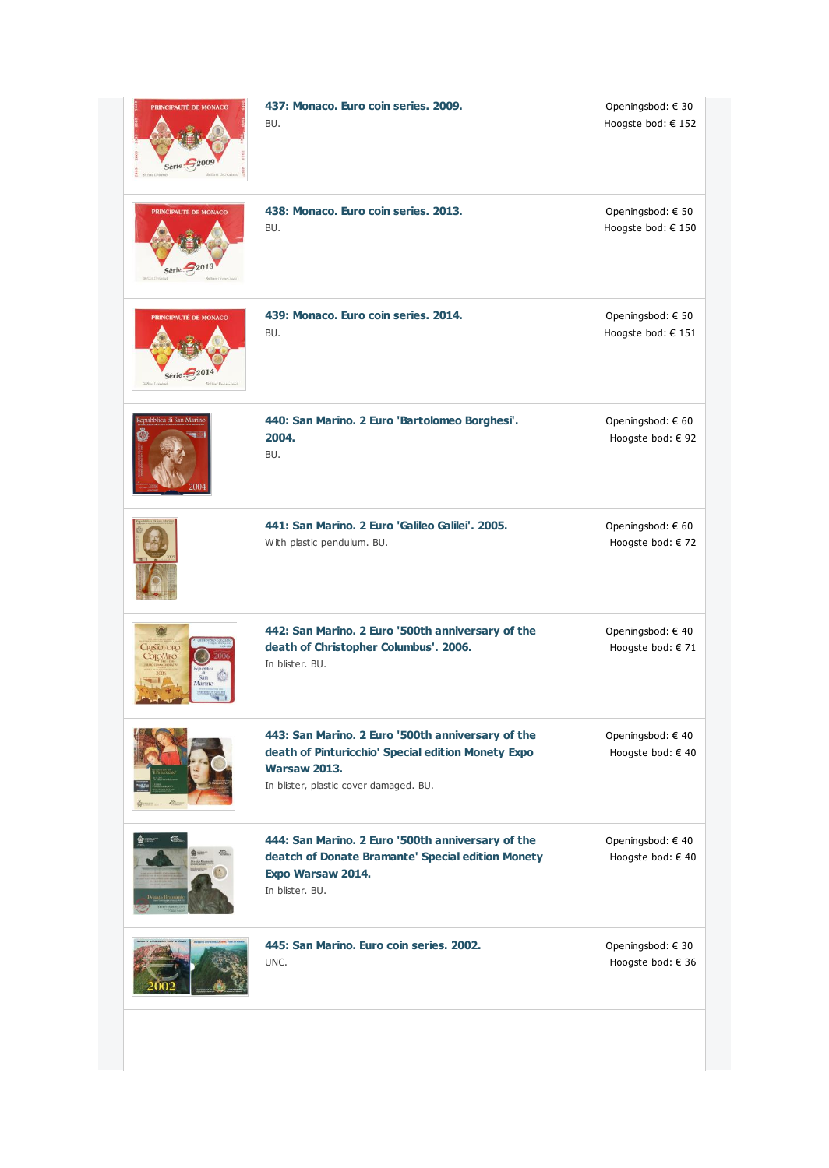| PRINCIPAUTÉ DE MONACO                         | 437: Monaco. Euro coin series. 2009.<br>BU.                                                                                                                              | Openingsbod: € 30<br>Hoogste bod: € 152 |
|-----------------------------------------------|--------------------------------------------------------------------------------------------------------------------------------------------------------------------------|-----------------------------------------|
| PRINCIPAUTÉ DE MONACO                         | 438: Monaco. Euro coin series. 2013.<br>BU.                                                                                                                              | Openingsbod: € 50<br>Hoogste bod: € 150 |
| PRINCIPAUTÉ DE MONACO<br>Série $\frac{20}{2}$ | 439: Monaco. Euro coin series. 2014.<br>BU.                                                                                                                              | Openingsbod: € 50<br>Hoogste bod: € 151 |
| tepubblica di San Marine                      | 440: San Marino. 2 Euro 'Bartolomeo Borghesi'.<br>2004.<br>BU.                                                                                                           | Openingsbod: € 60<br>Hoogste bod: € 92  |
|                                               | 441: San Marino, 2 Euro 'Galileo Galilei', 2005.<br>With plastic pendulum. BU.                                                                                           | Openingsbod: € 60<br>Hoogste bod: €72   |
| CRISTOFORO<br>COJOMBO<br>San<br>Marino        | 442: San Marino. 2 Euro '500th anniversary of the<br>death of Christopher Columbus'. 2006.<br>In blister. BU.                                                            | Openingsbod: €40<br>Hoogste bod: € 71   |
|                                               | 443: San Marino. 2 Euro '500th anniversary of the<br>death of Pinturicchio' Special edition Monety Expo<br><b>Warsaw 2013.</b><br>In blister, plastic cover damaged. BU. | Openingsbod: €40<br>Hoogste bod: € 40   |
|                                               | 444: San Marino. 2 Euro '500th anniversary of the<br>deatch of Donate Bramante' Special edition Monety<br>Expo Warsaw 2014.<br>In blister, BU.                           | Openingsbod: €40<br>Hoogste bod: € 40   |
|                                               | 445: San Marino, Euro coin series, 2002.<br>UNC.                                                                                                                         | Openingsbod: € 30<br>Hoogste bod: € 36  |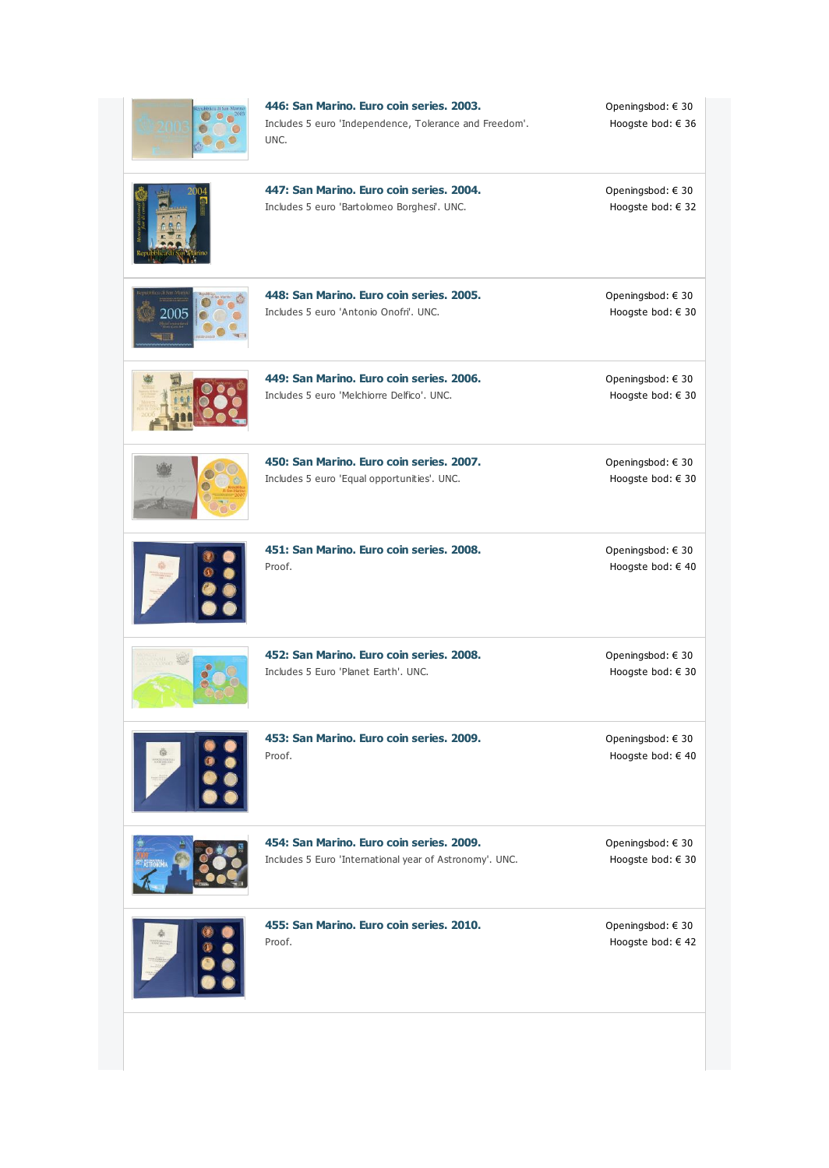| 446: San Marino, Euro coin series, 2003.<br>Includes 5 euro 'Independence, Tolerance and Freedom'.<br>UNC. | Openingsbod: $\in$ 30<br>Hoogste bod: € 36 |
|------------------------------------------------------------------------------------------------------------|--------------------------------------------|
| 447: San Marino, Euro coin series, 2004.<br>Includes 5 euro 'Bartolomeo Borghesi'. UNC.                    | Openingsbod: € 30<br>Hoogste bod: € 32     |
| 448: San Marino. Euro coin series. 2005.<br>Includes 5 euro 'Antonio Onofri'. UNC.                         | Openingsbod: € 30<br>Hoogste bod: € 30     |
| 449: San Marino. Euro coin series. 2006.<br>Includes 5 euro 'Melchiorre Delfico'. UNC.                     | Openingsbod: $\in$ 30<br>Hoogste bod: € 30 |
| 450: San Marino. Euro coin series. 2007.<br>Includes 5 euro 'Equal opportunities'. UNC.                    | Openingsbod: $\in$ 30<br>Hoogste bod: € 30 |
| 451: San Marino. Euro coin series. 2008.<br>Proof.                                                         | Openingsbod: € 30<br>Hoogste bod: € 40     |
| 452: San Marino. Euro coin series. 2008.<br>Includes 5 Euro 'Planet Earth', UNC.                           | Openingsbod: € 30<br>Hoogste bod: € 30     |
| 453: San Marino, Euro coin series, 2009,<br>Proof.                                                         | Openingsbod: € 30<br>Hoogste bod: € 40     |
| 454: San Marino, Euro coin series, 2009,<br>Includes 5 Euro 'International year of Astronomy'. UNC.        | Openingsbod: €30<br>Hoogste bod: € 30      |
| 455: San Marino. Euro coin series. 2010.<br>Proof.                                                         | Openingsbod: € 30<br>Hoogste bod: € 42     |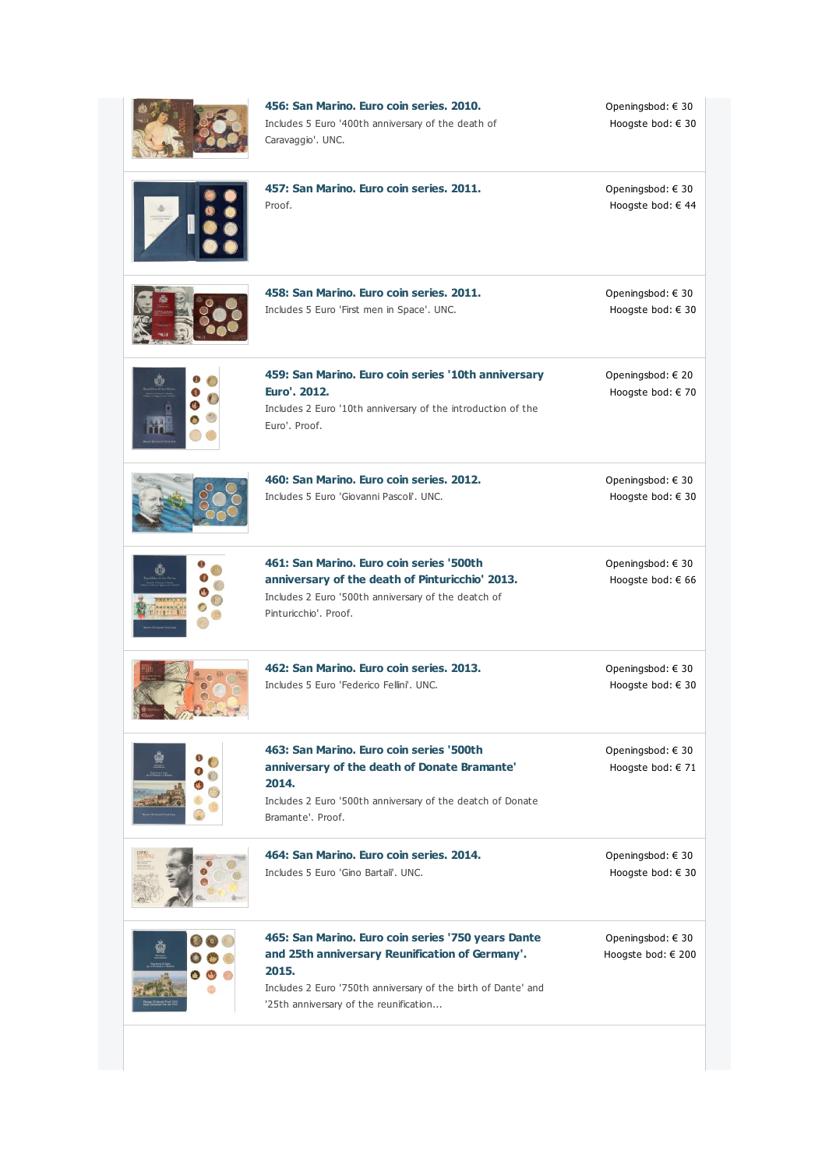|                   | 456: San Marino, Euro coin series, 2010,<br>Includes 5 Euro '400th anniversary of the death of<br>Caravaggio'. UNC.                                                                                                       | Openingsbod: € 30<br>Hoogste bod: € 30      |
|-------------------|---------------------------------------------------------------------------------------------------------------------------------------------------------------------------------------------------------------------------|---------------------------------------------|
|                   | 457: San Marino, Euro coin series, 2011.<br>Proof.                                                                                                                                                                        | Openingsbod: $\in$ 30<br>Hoogste bod: € 44  |
|                   | 458: San Marino. Euro coin series. 2011.<br>Includes 5 Euro 'First men in Space'. UNC.                                                                                                                                    | Openingsbod: $\in$ 30<br>Hoogste bod: € 30  |
|                   | 459: San Marino. Euro coin series '10th anniversary<br>Euro', 2012.<br>Includes 2 Euro '10th anniversary of the introduction of the<br>Euro', Proof.                                                                      | Openingsbod: € 20<br>Hoogste bod: € 70      |
|                   | 460: San Marino, Euro coin series, 2012.<br>Includes 5 Euro 'Giovanni Pascoli', UNC.                                                                                                                                      | Openingsbod: $\in$ 30<br>Hoogste bod: € 30  |
|                   | 461: San Marino, Euro coin series '500th<br>anniversary of the death of Pinturicchio' 2013.<br>Includes 2 Euro '500th anniversary of the deatch of<br>Pinturicchio', Proof.                                               | Openingsbod: $\in$ 30<br>Hoogste bod: € 66  |
|                   | 462: San Marino. Euro coin series. 2013.<br>Includes 5 Euro 'Federico Fellini', UNC.                                                                                                                                      | Openingsbod: $\in$ 30<br>Hoogste bod: € 30  |
|                   | 463: San Marino, Euro coin series '500th<br>anniversary of the death of Donate Bramante'<br>2014.<br>Includes 2 Euro '500th anniversary of the deatch of Donate<br>Bramante', Proof.                                      | Openingsbod: € 30<br>Hoogste bod: € 71      |
|                   | 464: San Marino. Euro coin series. 2014.<br>Includes 5 Euro 'Gino Bartali'. UNC.                                                                                                                                          | Openingsbod: $\in$ 30<br>Hoogste bod: € 30  |
| $\bullet$ $\circ$ | 465: San Marino. Euro coin series '750 years Dante<br>and 25th anniversary Reunification of Germany'.<br>2015.<br>Includes 2 Euro '750th anniversary of the birth of Dante' and<br>'25th anniversary of the reunification | Openingsbod: $\in$ 30<br>Hoogste bod: € 200 |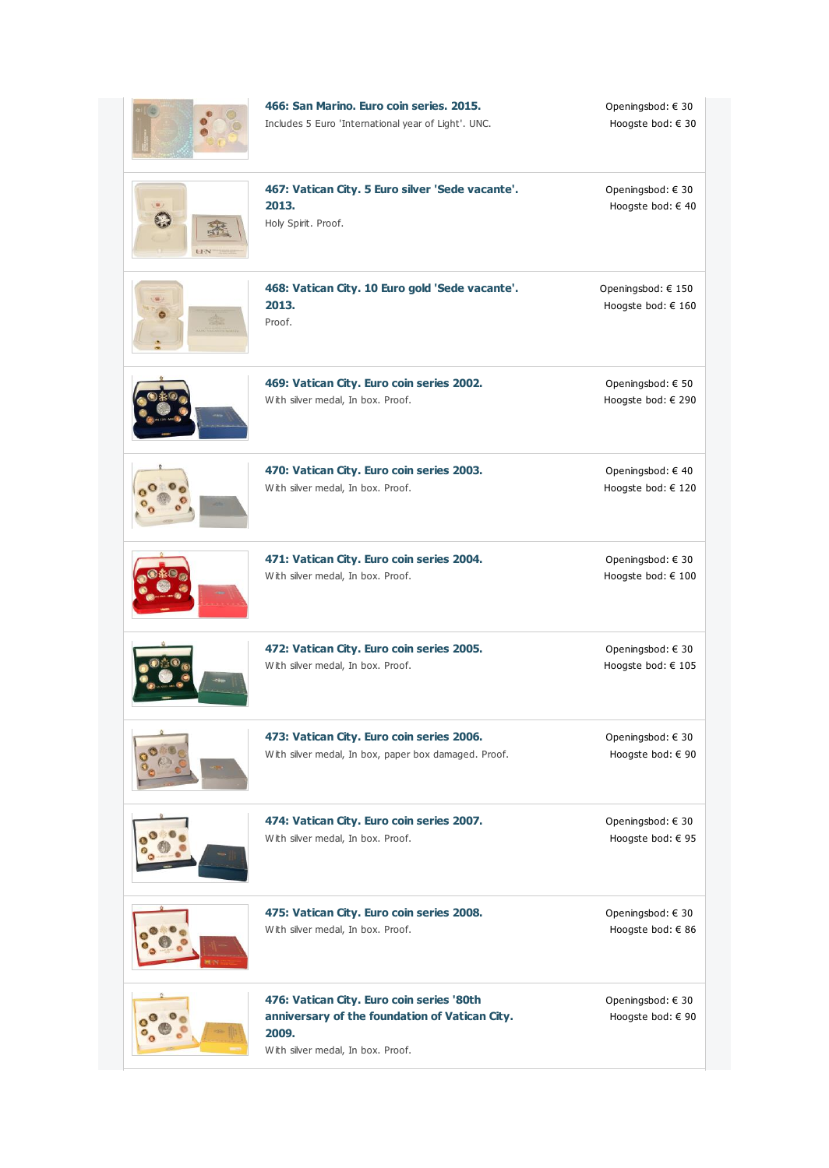|              | 466: San Marino. Euro coin series. 2015.<br>Includes 5 Euro 'International year of Light'. UNC.                                           | Openingsbod: € 30<br>Hoogste bod: € 30       |
|--------------|-------------------------------------------------------------------------------------------------------------------------------------------|----------------------------------------------|
| <b>E-F-N</b> | 467: Vatican City. 5 Euro silver 'Sede vacante'.<br>2013.<br>Holy Spirit. Proof.                                                          | Openingsbod: € 30<br>Hoogste bod: € 40       |
|              | 468: Vatican City. 10 Euro gold 'Sede vacante'.<br>2013.<br>Proof.                                                                        | Openingsbod: $\in$ 150<br>Hoogste bod: € 160 |
|              | 469: Vatican City. Euro coin series 2002.<br>With silver medal, In box. Proof.                                                            | Openingsbod: € 50<br>Hoogste bod: € 290      |
|              | 470: Vatican City. Euro coin series 2003.<br>With silver medal, In box. Proof.                                                            | Openingsbod: €40<br>Hoogste bod: € 120       |
|              | 471: Vatican City. Euro coin series 2004.<br>With silver medal, In box. Proof.                                                            | Openingsbod: € 30<br>Hoogste bod: € 100      |
|              | 472: Vatican City. Euro coin series 2005.<br>With silver medal, In box. Proof.                                                            | Openingsbod: € 30<br>Hoogste bod: € 105      |
|              | 473: Vatican City. Euro coin series 2006.<br>With silver medal, In box, paper box damaged. Proof.                                         | Openingsbod: € 30<br>Hoogste bod: € 90       |
|              | 474: Vatican City. Euro coin series 2007.<br>With silver medal, In box. Proof.                                                            | Openingsbod: € 30<br>Hoogste bod: € 95       |
|              | 475: Vatican City. Euro coin series 2008.<br>With silver medal, In box. Proof.                                                            | Openingsbod: € 30<br>Hoogste bod: € 86       |
|              | 476: Vatican City. Euro coin series '80th<br>anniversary of the foundation of Vatican City.<br>2009.<br>With silver medal, In box. Proof. | Openingsbod: € 30<br>Hoogste bod: € 90       |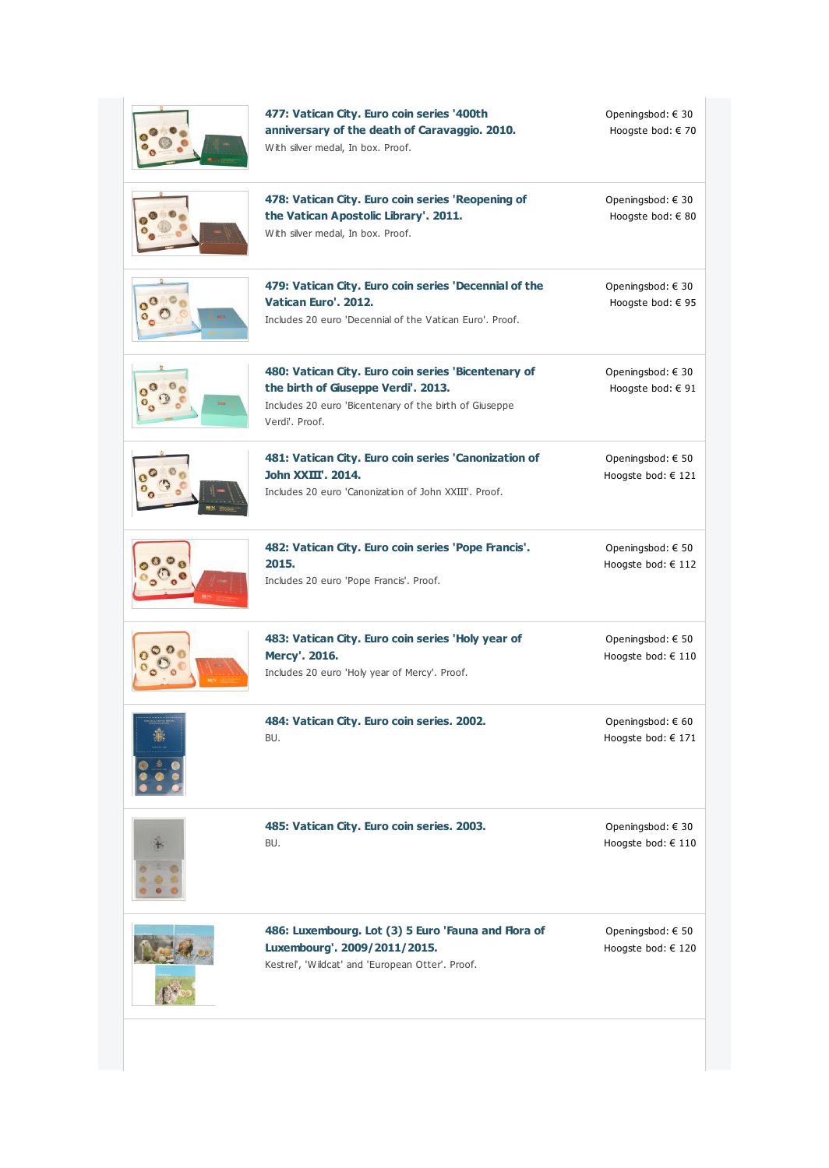| 477: Vatican City. Euro coin series '400th<br>anniversary of the death of Caravaggio. 2010.<br>With silver medal, In box. Proof.                                       | Openingsbod: € 30<br>Hoogste bod: € 70      |
|------------------------------------------------------------------------------------------------------------------------------------------------------------------------|---------------------------------------------|
| 478: Vatican City. Euro coin series 'Reopening of<br>the Vatican Apostolic Library'. 2011.<br>With silver medal, In box. Proof.                                        | Openingsbod: $\in$ 30<br>Hoogste bod: € 80  |
| 479: Vatican City. Euro coin series 'Decennial of the<br>Vatican Euro', 2012.<br>Includes 20 euro 'Decennial of the Vatican Euro', Proof,                              | Openingsbod: € 30<br>Hoogste bod: € 95      |
| 480: Vatican City. Euro coin series 'Bicentenary of<br>the birth of Giuseppe Verdi'. 2013.<br>Includes 20 euro 'Bicentenary of the birth of Giuseppe<br>Verdi'. Proof. | Openingsbod: € 30<br>Hoogste bod: € 91      |
| 481: Vatican City. Euro coin series 'Canonization of<br><b>John XXIII', 2014.</b><br>Includes 20 euro 'Canonization of John XXIII'. Proof.                             | Openingsbod: € 50<br>Hoogste bod: € 121     |
| 482: Vatican City. Euro coin series 'Pope Francis'.<br>2015.<br>Includes 20 euro 'Pope Francis'. Proof.                                                                | Openingsbod: € 50<br>Hoogste bod: € 112     |
| 483: Vatican City. Euro coin series 'Holy year of<br>Mercy'. 2016.<br>Includes 20 euro 'Holy year of Mercy'. Proof.                                                    | Openingsbod: € 50<br>Hoogste bod: € 110     |
| 484: Vatican City. Euro coin series. 2002.<br>BU.                                                                                                                      | Openingsbod: € 60<br>Hoogste bod: € 171     |
| 485: Vatican City. Euro coin series. 2003.<br>BU.                                                                                                                      | Openingsbod: € 30<br>Hoogste bod: € 110     |
| 486: Luxembourg. Lot (3) 5 Euro 'Fauna and Flora of<br>Luxembourg'. 2009/2011/2015.<br>Kestrel', 'Wildcat' and 'European Otter'. Proof.                                | Openingsbod: $\in$ 50<br>Hoogste bod: € 120 |
|                                                                                                                                                                        |                                             |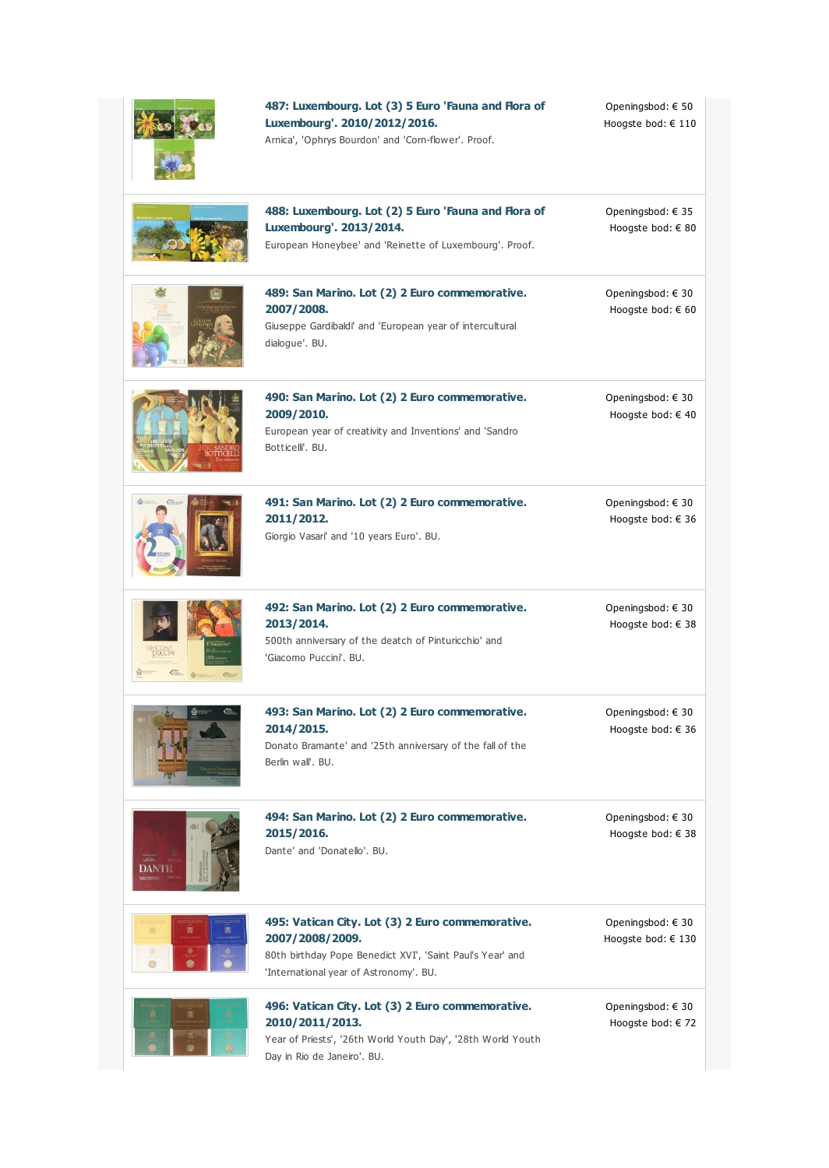|       | 487: Luxembourg. Lot (3) 5 Euro 'Fauna and Flora of<br>Luxembourg'. 2010/2012/2016.<br>Arnica', 'Ophrys Bourdon' and 'Corn-flower'. Proof.                                 | Openingsbod: € 50<br>Hoogste bod: € 110     |
|-------|----------------------------------------------------------------------------------------------------------------------------------------------------------------------------|---------------------------------------------|
|       | 488: Luxembourg. Lot (2) 5 Euro 'Fauna and Flora of<br>Luxembourg'. 2013/2014.<br>European Honeybee' and 'Reinette of Luxembourg'. Proof.                                  | Openingsbod: € 35<br>Hoogste bod: € 80      |
|       | 489: San Marino. Lot (2) 2 Euro commemorative.<br>2007/2008.<br>Giuseppe Gardibaldi' and 'European year of intercultural<br>dialogue'. BU.                                 | Openingsbod: € 30<br>Hoogste bod: € 60      |
|       | 490: San Marino. Lot (2) 2 Euro commemorative.<br>2009/2010.<br>European year of creativity and Inventions' and 'Sandro<br>Botticelli', BU.                                | Openingsbod: € 30<br>Hoogste bod: € 40      |
|       | 491: San Marino. Lot (2) 2 Euro commemorative.<br>2011/2012.<br>Giorgio Vasari' and '10 years Euro'. BU.                                                                   | Openingsbod: € 30<br>Hoogste bod: € 36      |
|       | 492: San Marino. Lot (2) 2 Euro commemorative.<br>2013/2014.<br>500th anniversary of the deatch of Pinturicchio' and<br>'Giacomo Puccini', BU.                             | Openingsbod: € 30<br>Hoogste bod: € 38      |
|       | 493: San Marino. Lot (2) 2 Euro commemorative.<br>2014/2015.<br>Donato Bramante' and '25th anniversary of the fall of the<br>Berlin wall'. BU.                             | Openingsbod: € 30<br>Hoogste bod: € 36      |
| DANTE | 494: San Marino. Lot (2) 2 Euro commemorative.<br>2015/2016.<br>Dante' and 'Donatello'. BU.                                                                                | Openingsbod: € 30<br>Hoogste bod: $\in$ 38  |
|       | 495: Vatican City. Lot (3) 2 Euro commemorative.<br>2007/2008/2009.<br>80th birthday Pope Benedict XVI', 'Saint Paul's Year' and<br>'International year of Astronomy'. BU. | Openingsbod: $\in$ 30<br>Hoogste bod: € 130 |
|       | 496: Vatican City. Lot (3) 2 Euro commemorative.<br>2010/2011/2013.<br>Year of Priests', '26th World Youth Day', '28th World Youth<br>Day in Rio de Janeiro'. BU.          | Openingsbod: € 30<br>Hoogste bod: €72       |